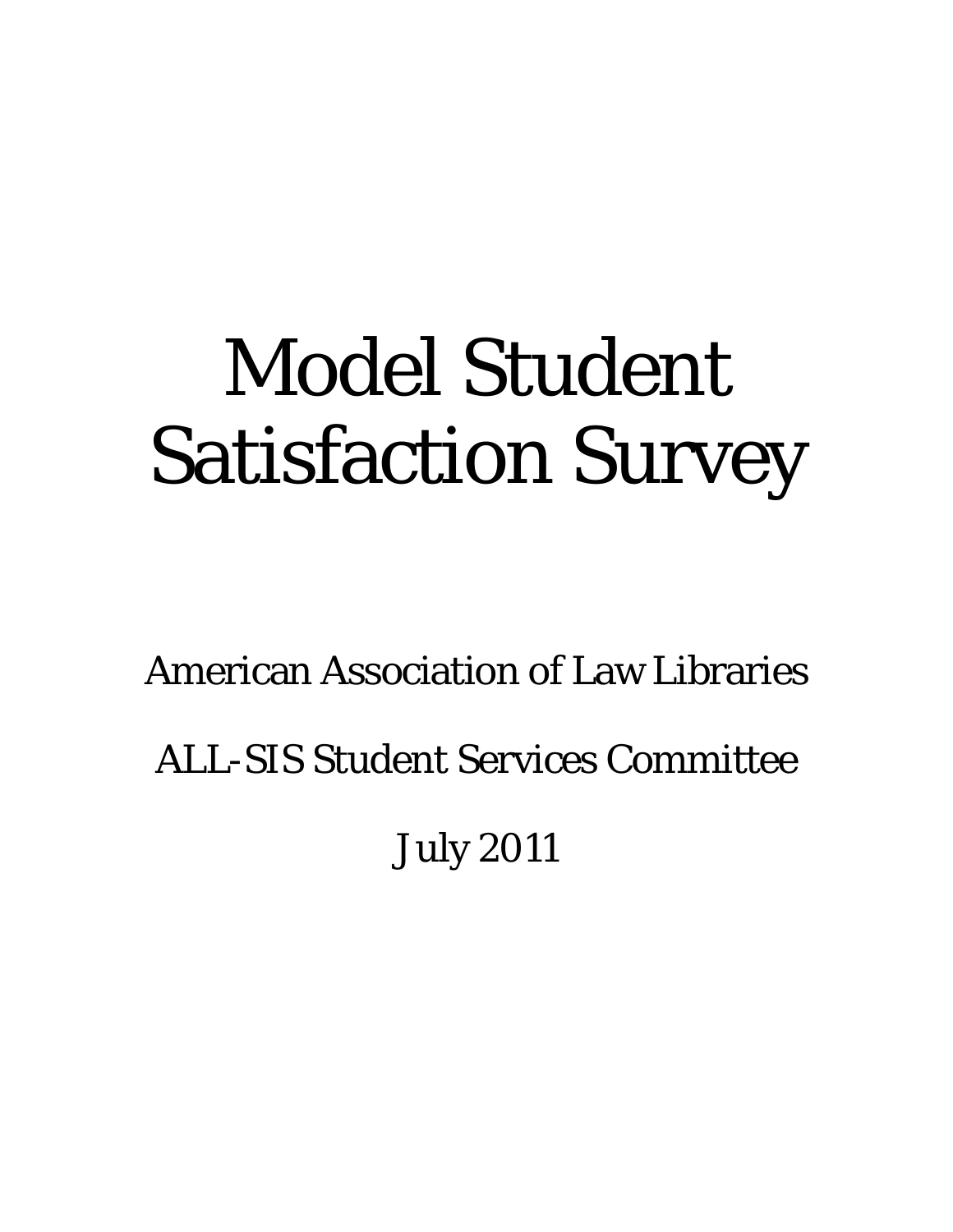# Model Student Satisfaction Survey

American Association of Law Libraries

ALL-SIS Student Services Committee

July 2011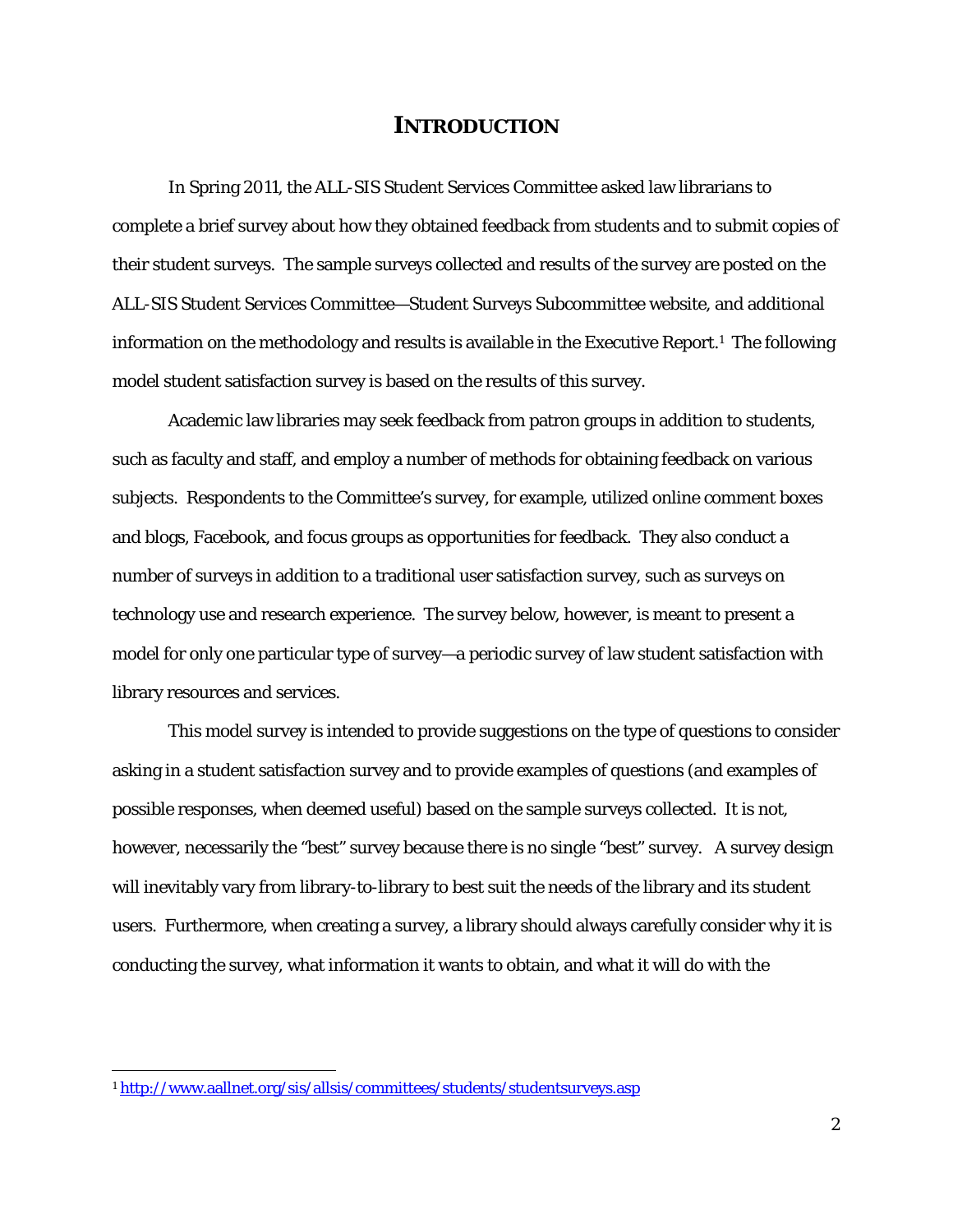# **INTRODUCTION**

 In Spring 2011, the ALL-SIS Student Services Committee asked law librarians to complete a brief survey about how they obtained feedback from students and to submit copies of their student surveys. The sample surveys collected and results of the survey are posted on the ALL-SIS Student Services Committee—Student Surveys Subcommittee website, and additional information on the methodology and results is available in the Executive Report.1 The following model student satisfaction survey is based on the results of this survey.

Academic law libraries may seek feedback from patron groups in addition to students, such as faculty and staff, and employ a number of methods for obtaining feedback on various subjects. Respondents to the Committee's survey, for example, utilized online comment boxes and blogs, Facebook, and focus groups as opportunities for feedback. They also conduct a number of surveys in addition to a traditional user satisfaction survey, such as surveys on technology use and research experience. The survey below, however, is meant to present a model for only one particular type of survey—a periodic survey of law student satisfaction with library resources and services.

This model survey is intended to provide suggestions on the type of questions to consider asking in a student satisfaction survey and to provide examples of questions (and examples of possible responses, when deemed useful) based on the sample surveys collected. It is not, however, necessarily the "best" survey because there is no single "best" survey. A survey design will inevitably vary from library-to-library to best suit the needs of the library and its student users. Furthermore, when creating a survey, a library should always carefully consider why it is conducting the survey, what information it wants to obtain, and what it will do with the

<sup>1</sup> http://www.aallnet.org/sis/allsis/committees/students/studentsurveys.asp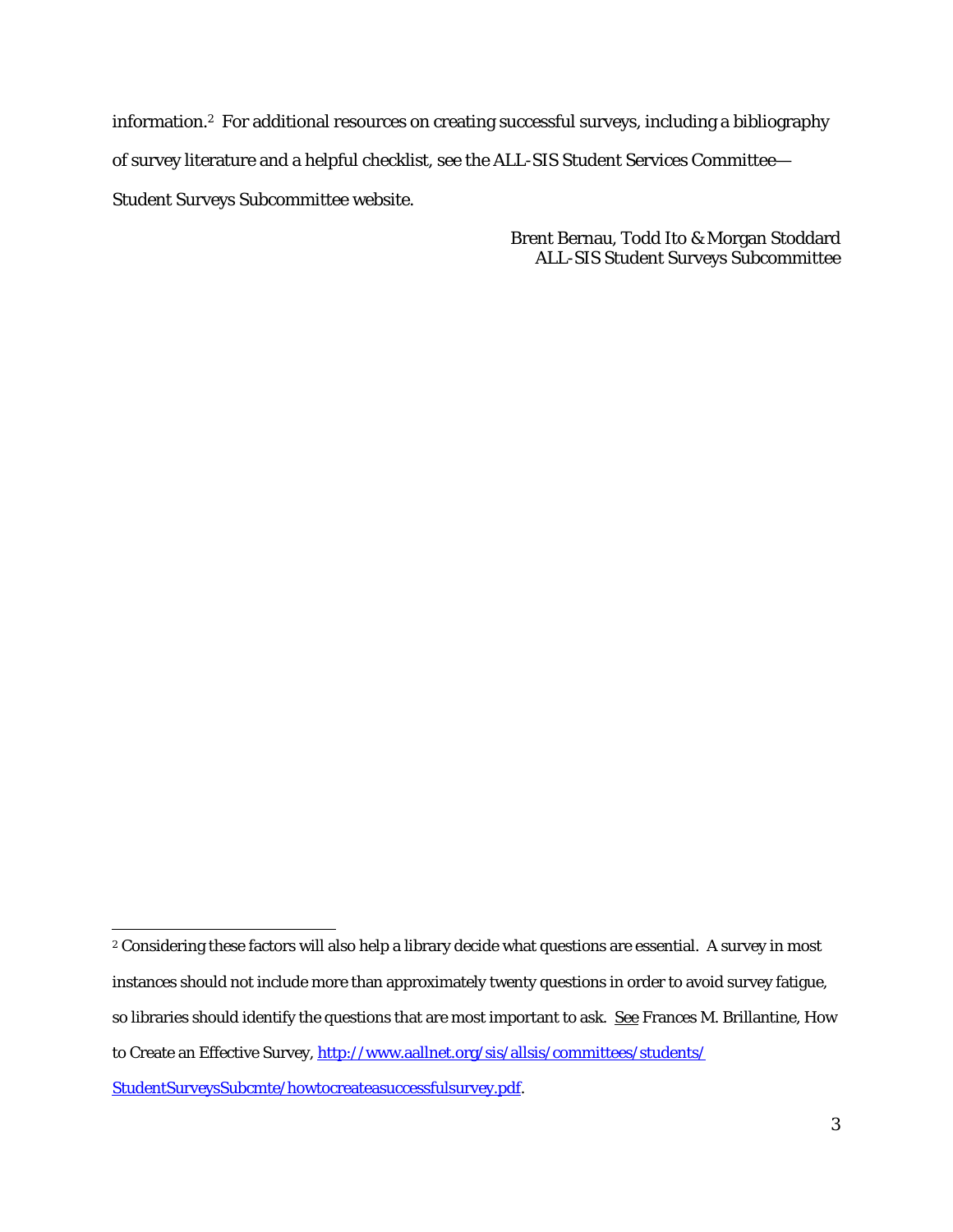information.2 For additional resources on creating successful surveys, including a bibliography of survey literature and a helpful checklist, see the ALL-SIS Student Services Committee— Student Surveys Subcommittee website.

> Brent Bernau, Todd Ito & Morgan Stoddard ALL-SIS Student Surveys Subcommittee

 <sup>2</sup> Considering these factors will also help a library decide what questions are essential. A survey in most instances should not include more than approximately twenty questions in order to avoid survey fatigue, so libraries should identify the questions that are most important to ask. See Frances M. Brillantine, How to Create an Effective Survey, http://www.aallnet.org/sis/allsis/committees/students/ StudentSurveysSubcmte/howtocreateasuccessfulsurvey.pdf.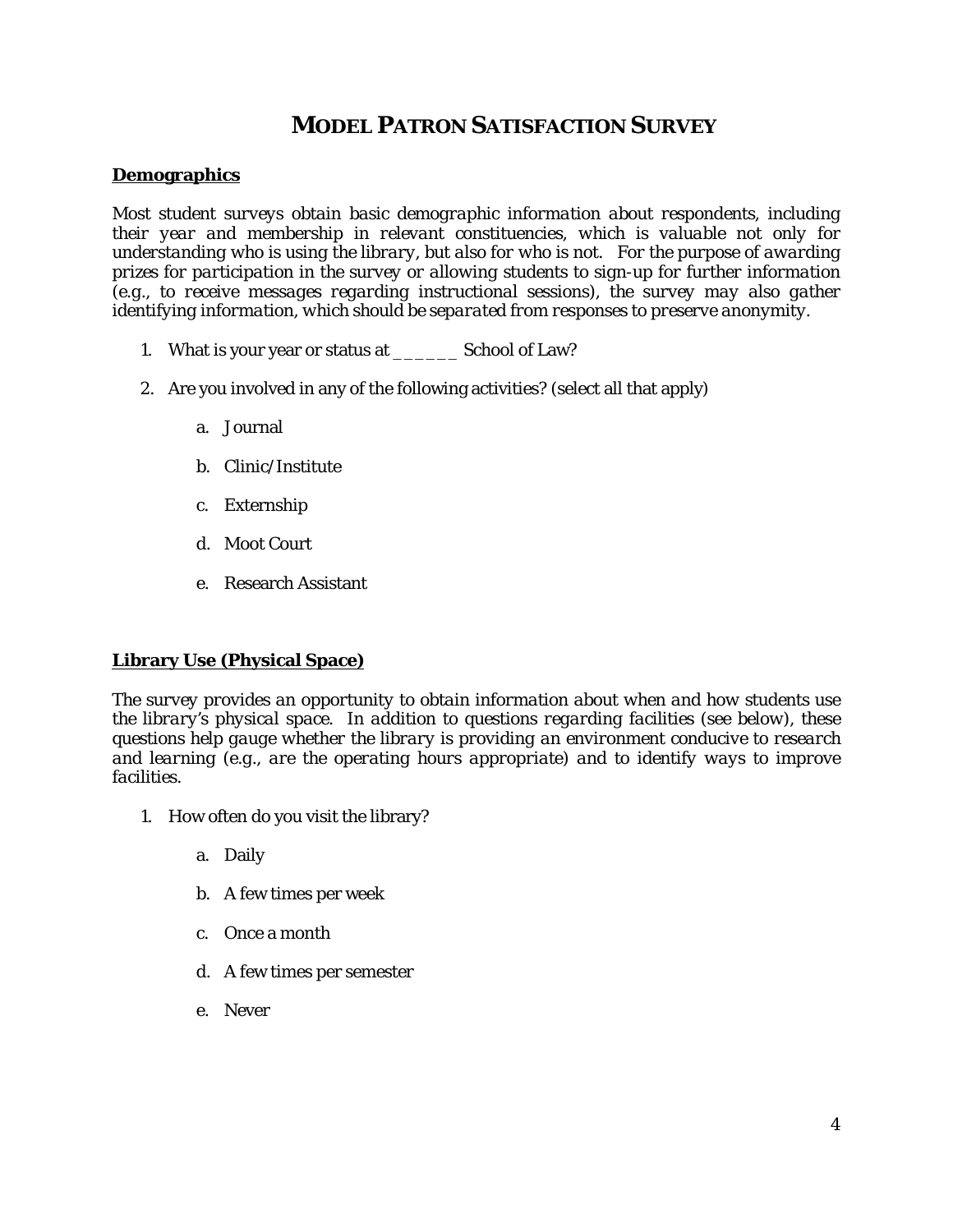# **MODEL PATRON SATISFACTION SURVEY**

#### **Demographics**

*Most student surveys obtain basic demographic information about respondents, including their year and membership in relevant constituencies, which is valuable not only for understanding who is using the library, but also for who is* not. *For the purpose of awarding prizes for participation in the survey or allowing students to sign-up for further information (e.g., to receive messages regarding instructional sessions), the survey may also gather identifying information, which should be separated from responses to preserve anonymity.* 

- 1. What is your year or status at \_\_\_\_\_\_ School of Law?
- 2. Are you involved in any of the following activities? (select all that apply)
	- a. Journal
	- b. Clinic/Institute
	- c. Externship
	- d. Moot Court
	- e. Research Assistant

#### **Library Use (Physical Space)**

*The survey provides an opportunity to obtain information about when and how students use the library's physical space. In addition to questions regarding facilities (see below), these questions help gauge whether the library is providing an environment conducive to research and learning (e.g., are the operating hours appropriate) and to identify ways to improve facilities.* 

- 1. How often do you visit the library?
	- a. Daily
	- b. A few times per week
	- c. Once a month
	- d. A few times per semester
	- e. Never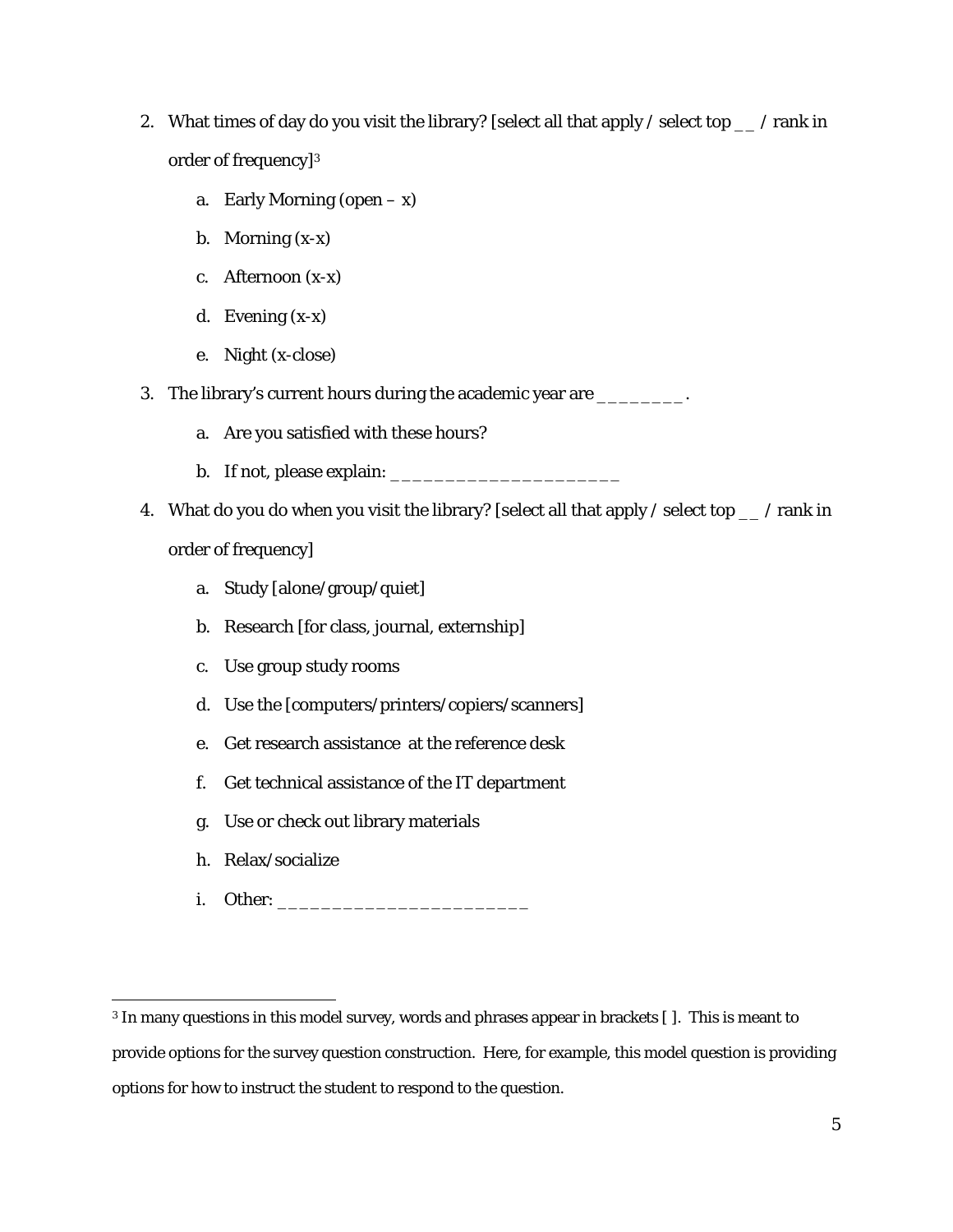- 2. What times of day do you visit the library? [select all that apply / select top \_\_ / rank in order of frequency]3
	- a. Early Morning (open  $-x$ )
	- b. Morning (x-x)
	- c. Afternoon (x-x)
	- d. Evening (x-x)
	- e. Night (x-close)
- 3. The library's current hours during the academic year are \_\_\_\_\_\_\_\_\_.
	- a. Are you satisfied with these hours?
	- b. If not, please explain: \_\_\_\_\_\_\_\_\_\_\_\_\_\_\_\_\_\_\_\_\_
- 4. What do you do when you visit the library? [select all that apply / select top \_\_ / rank in order of frequency]
	- a. Study [alone/group/quiet]
	- b. Research [for class, journal, externship]
	- c. Use group study rooms
	- d. Use the [computers/printers/copiers/scanners]
	- e. Get research assistance at the reference desk
	- f. Get technical assistance of the IT department
	- g. Use or check out library materials
	- h. Relax/socialize
	- i. Other:

 3 In many questions in this model survey, words and phrases appear in brackets [ ]. This is meant to provide options for the survey question construction. Here, for example, this model question is providing options for how to instruct the student to respond to the question.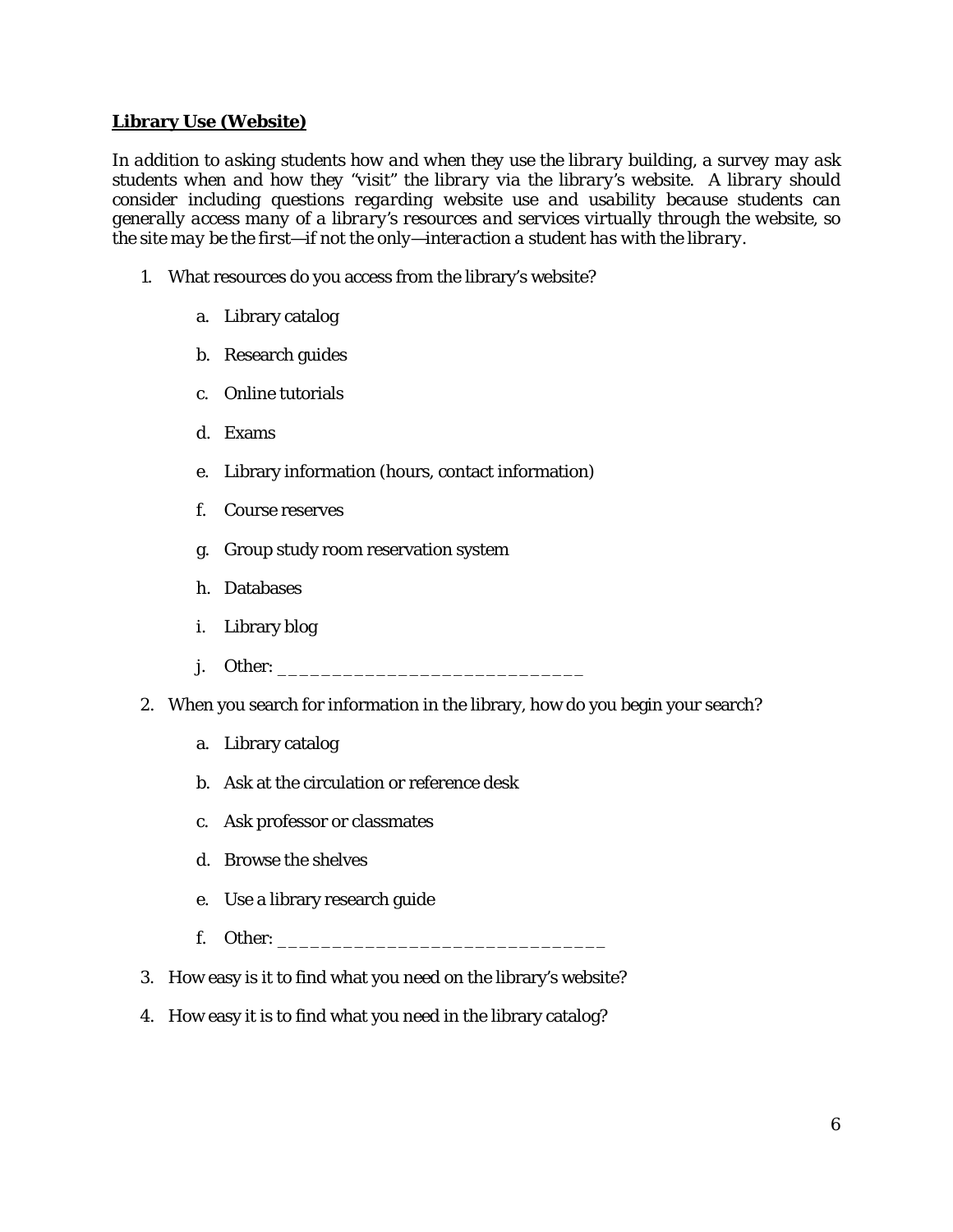## **Library Use (Website)**

*In addition to asking students how and when they use the library building, a survey may ask students when and how they "visit" the library via the library's website. A library should consider including questions regarding website use and usability because students can generally access many of a library's resources and services virtually through the website, so the site may be the first—if not the only—interaction a student has with the library.*

- 1. What resources do you access from the library's website?
	- a. Library catalog
	- b. Research guides
	- c. Online tutorials
	- d. Exams
	- e. Library information (hours, contact information)
	- f. Course reserves
	- g. Group study room reservation system
	- h. Databases
	- i. Library blog
	- j. Other: \_\_\_\_\_\_\_\_\_\_\_\_\_\_\_\_\_\_\_\_\_\_\_\_\_\_\_\_
- 2. When you search for information in the library, how do you begin your search?
	- a. Library catalog
	- b. Ask at the circulation or reference desk
	- c. Ask professor or classmates
	- d. Browse the shelves
	- e. Use a library research guide
	- f. Other: \_\_\_\_\_\_\_\_\_\_\_\_\_\_\_\_\_\_\_\_\_\_\_\_\_\_\_\_\_\_
- 3. How easy is it to find what you need on the library's website?
- 4. How easy it is to find what you need in the library catalog?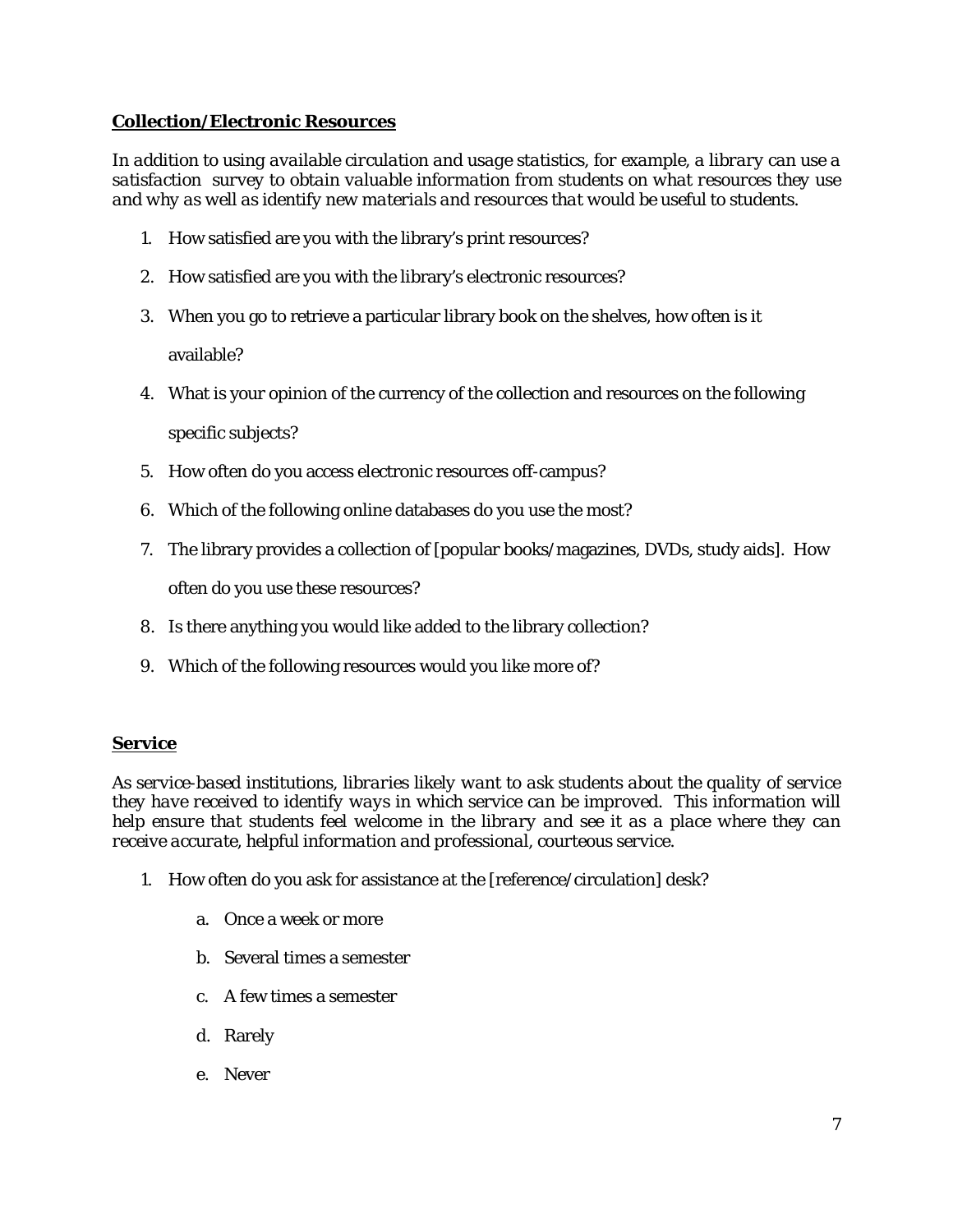# **Collection/Electronic Resources**

*In addition to using available circulation and usage statistics, for example, a library can use a satisfaction survey to obtain valuable information from students on what resources they use and why as well as identify new materials and resources that would be useful to students.* 

- 1. How satisfied are you with the library's print resources?
- 2. How satisfied are you with the library's electronic resources?
- 3. When you go to retrieve a particular library book on the shelves, how often is it available?
- 4. What is your opinion of the currency of the collection and resources on the following specific subjects?
- 5. How often do you access electronic resources off-campus?
- 6. Which of the following online databases do you use the most?
- 7. The library provides a collection of [popular books/magazines, DVDs, study aids]. How often do you use these resources?
- 8. Is there anything you would like added to the library collection?
- 9. Which of the following resources would you like more of?

#### **Service**

*As service-based institutions, libraries likely want to ask students about the quality of service they have received to identify ways in which service can be improved. This information will help ensure that students feel welcome in the library and see it as a place where they can receive accurate, helpful information and professional, courteous service.* 

- 1. How often do you ask for assistance at the [reference/circulation] desk?
	- a. Once a week or more
	- b. Several times a semester
	- c. A few times a semester
	- d. Rarely
	- e. Never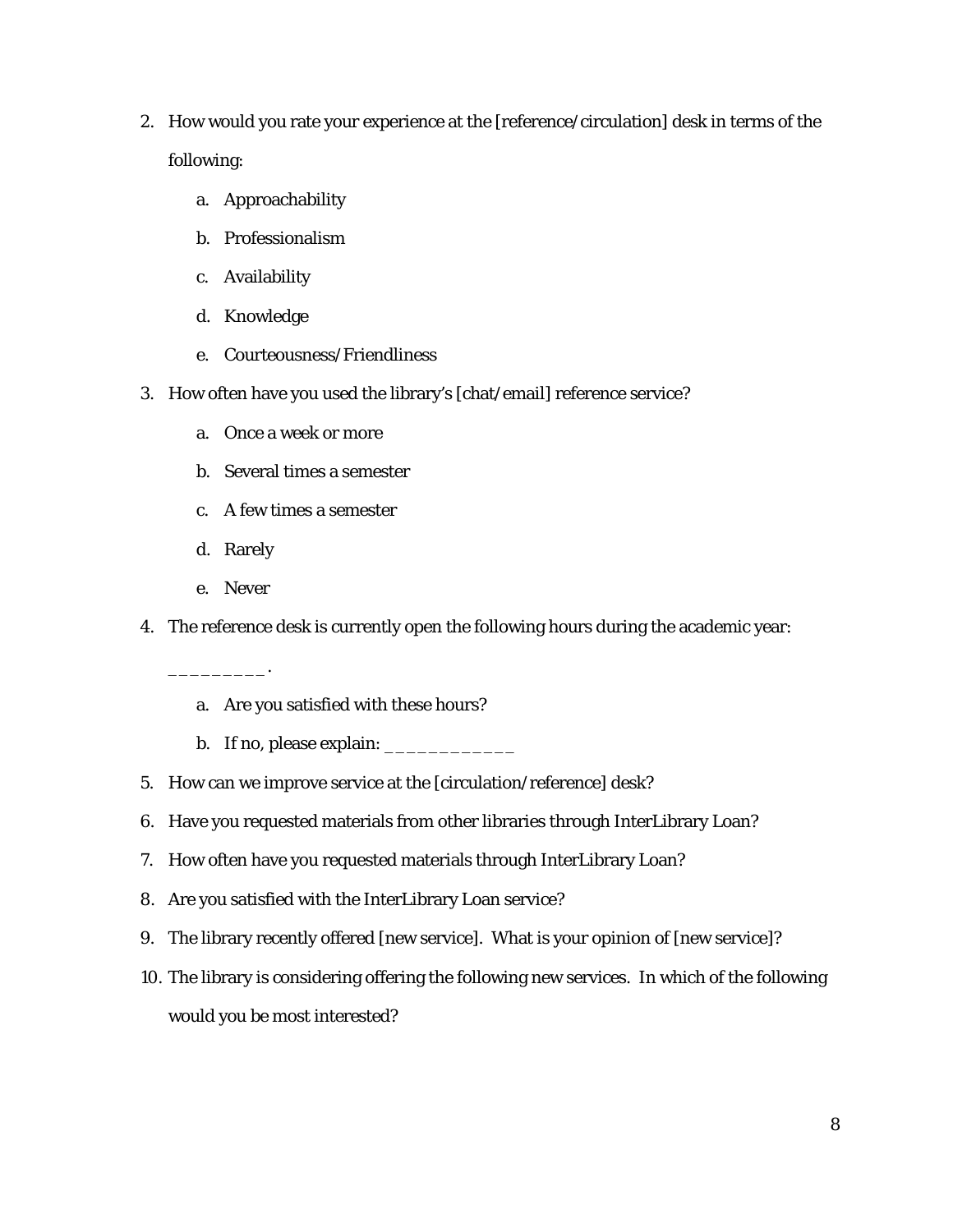- 2. How would you rate your experience at the [reference/circulation] desk in terms of the following:
	- a. Approachability
	- b. Professionalism
	- c. Availability
	- d. Knowledge
	- e. Courteousness/Friendliness
- 3. How often have you used the library's [chat/email] reference service?
	- a. Once a week or more
	- b. Several times a semester
	- c. A few times a semester
	- d. Rarely
	- e. Never

\_\_\_\_\_\_\_\_\_.

- 4. The reference desk is currently open the following hours during the academic year:
	- a. Are you satisfied with these hours?
	- b. If no, please explain: \_\_\_\_\_\_\_\_\_\_\_\_
- 5. How can we improve service at the [circulation/reference] desk?
- 6. Have you requested materials from other libraries through InterLibrary Loan?
- 7. How often have you requested materials through InterLibrary Loan?
- 8. Are you satisfied with the InterLibrary Loan service?
- 9. The library recently offered [new service]. What is your opinion of [new service]?
- 10. The library is considering offering the following new services. In which of the following would you be most interested?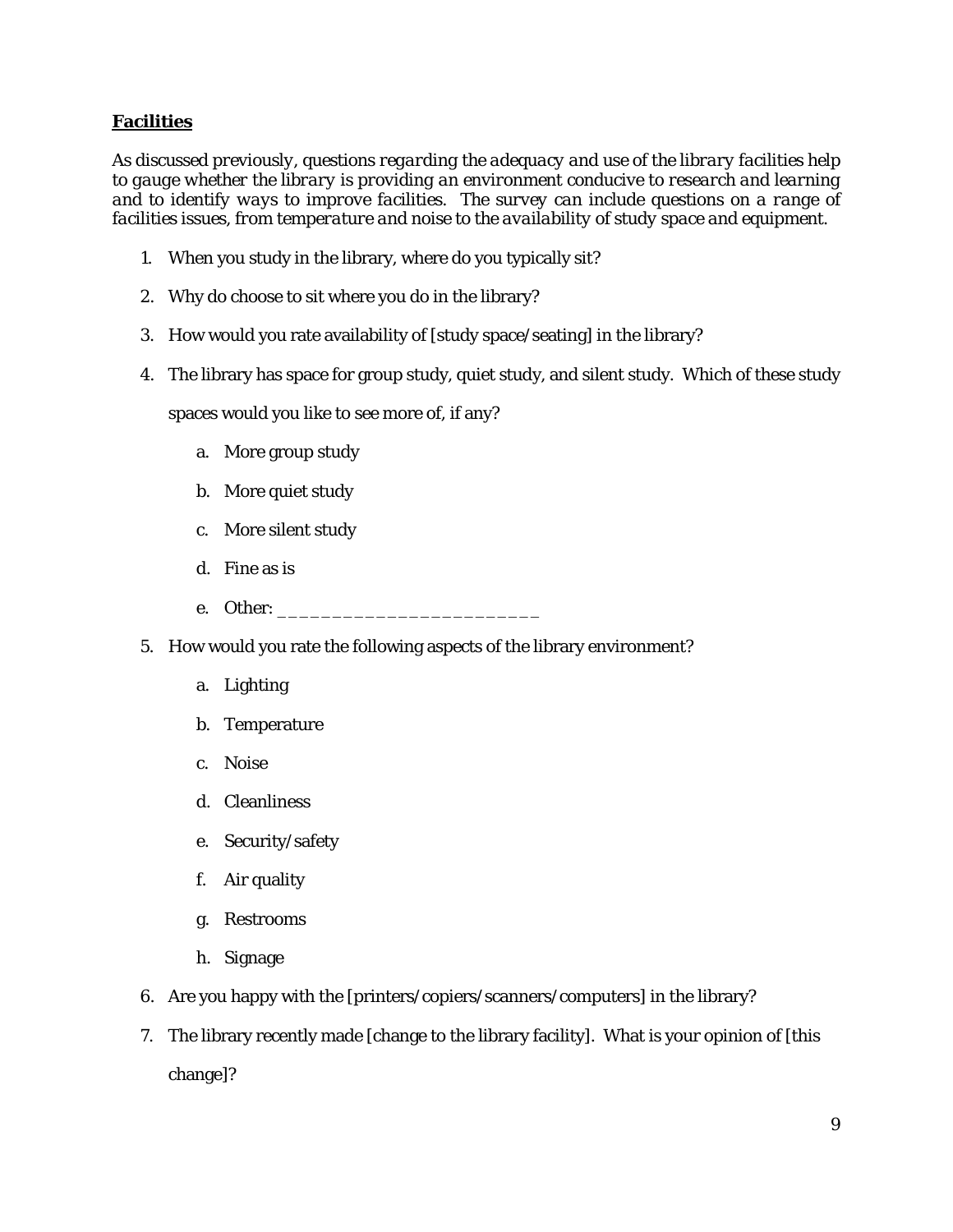## **Facilities**

*As discussed previously, questions regarding the adequacy and use of the library facilities help to gauge whether the library is providing an environment conducive to research and learning and to identify ways to improve facilities. The survey can include questions on a range of facilities issues, from temperature and noise to the availability of study space and equipment.* 

- 1. When you study in the library, where do you typically sit?
- 2. Why do choose to sit where you do in the library?
- 3. How would you rate availability of [study space/seating] in the library?
- 4. The library has space for group study, quiet study, and silent study. Which of these study

spaces would you like to see more of, if any?

- a. More group study
- b. More quiet study
- c. More silent study
- d. Fine as is
- e. Other:
- 5. How would you rate the following aspects of the library environment?
	- a. Lighting
	- b. Temperature
	- c. Noise
	- d. Cleanliness
	- e. Security/safety
	- f. Air quality
	- g. Restrooms
	- h. Signage
- 6. Are you happy with the [printers/copiers/scanners/computers] in the library?
- 7. The library recently made [change to the library facility]. What is your opinion of [this change]?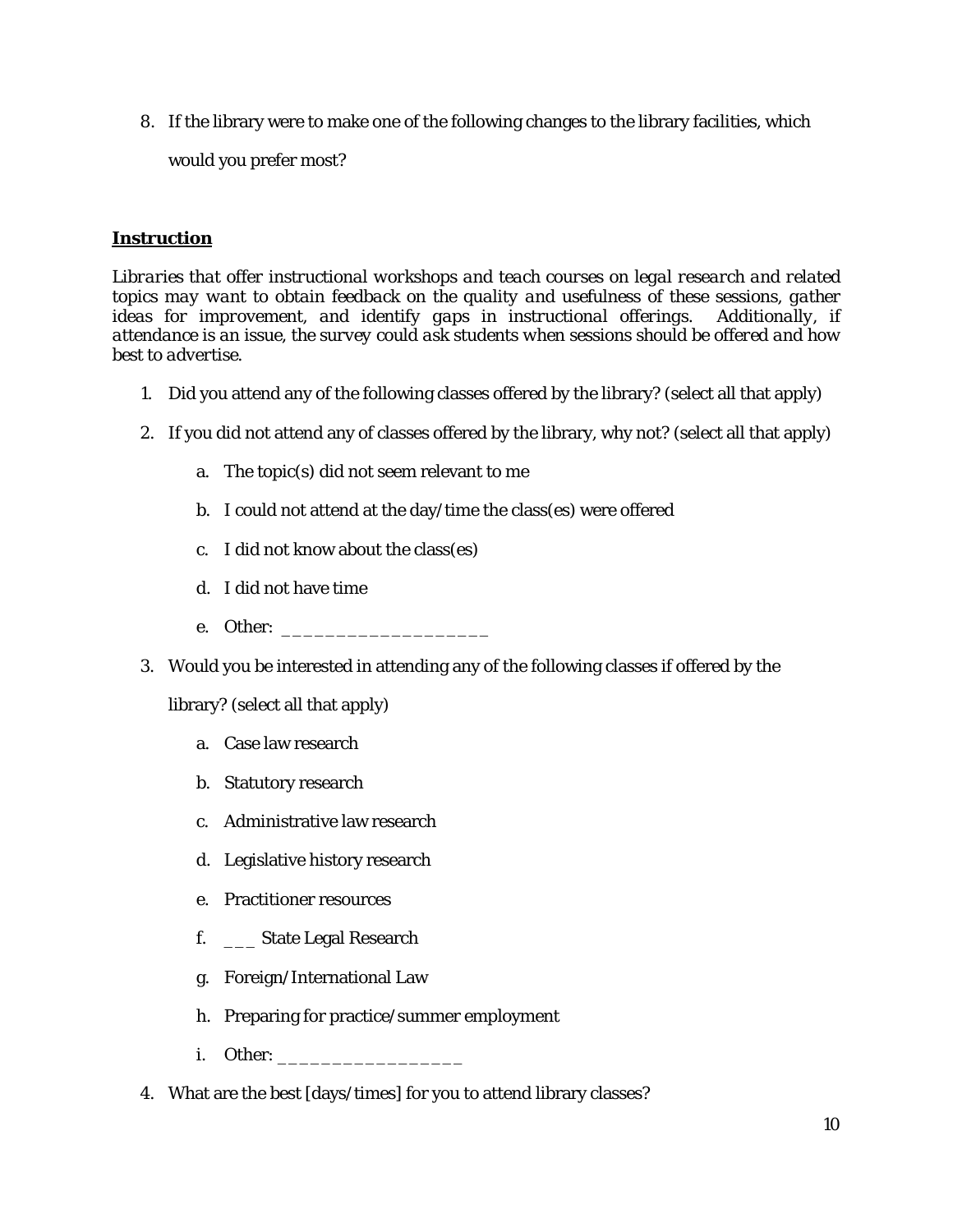8. If the library were to make one of the following changes to the library facilities, which

would you prefer most?

# **Instruction**

*Libraries that offer instructional workshops and teach courses on legal research and related*  topics may want to obtain feedback on the quality and usefulness of these sessions, gather ideas for improvement, and identify gaps in instructional offerings. Additionally, if *attendance is an issue, the survey could ask students when sessions should be offered and how best to advertise.* 

- 1. Did you attend any of the following classes offered by the library? (select all that apply)
- 2. If you did not attend any of classes offered by the library, why not? (select all that apply)
	- a. The topic(s) did not seem relevant to me
	- b. I could not attend at the day/time the class(es) were offered
	- c. I did not know about the class(es)
	- d. I did not have time
	- e. Other: \_\_\_\_\_\_\_\_\_\_\_\_\_\_\_\_\_\_\_
- 3. Would you be interested in attending any of the following classes if offered by the

library? (select all that apply)

- a. Case law research
- b. Statutory research
- c. Administrative law research
- d. Legislative history research
- e. Practitioner resources
- f. \_\_\_ State Legal Research
- g. Foreign/International Law
- h. Preparing for practice/summer employment
- i. Other:
- 4. What are the best [days/times] for you to attend library classes?